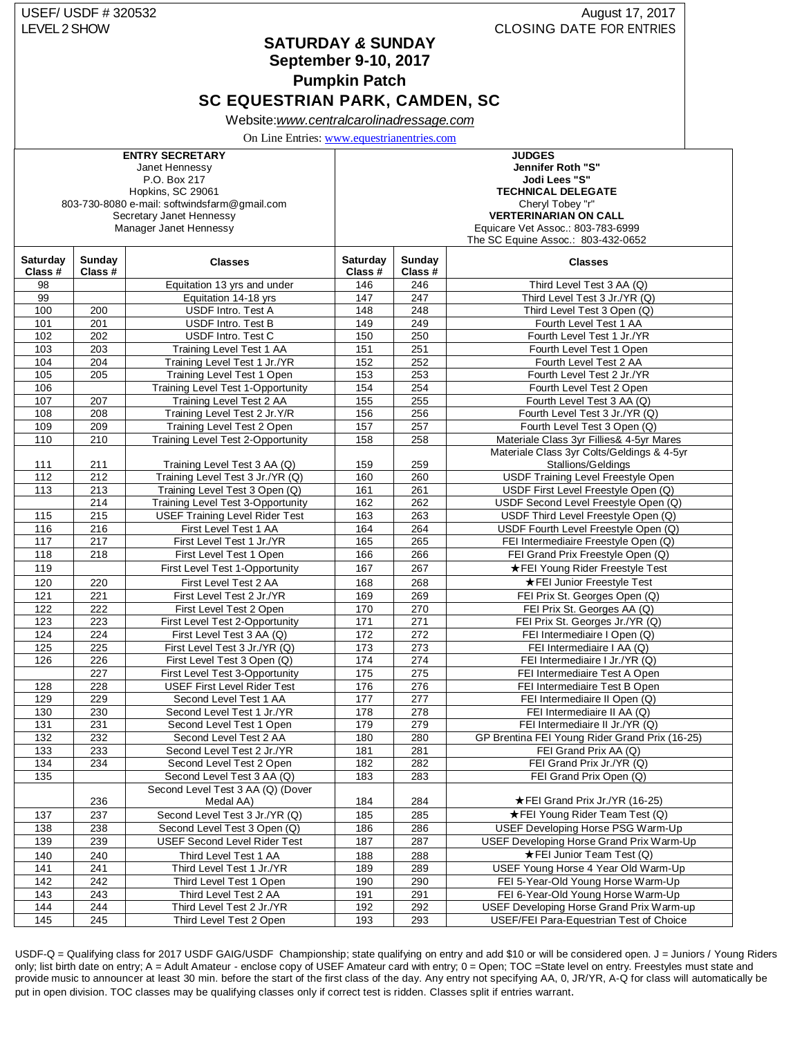## USEF/ USDF # 320532 **August 17, 2017** LEVEL 2 SHOW CLOSING DATE FOR ENTRIES

**SATURDAY** *&* **SUNDAY September 9-10, 2017**

**Pumpkin Patch**

# **SC EQUESTRIAN PARK, CAMDEN, SC**

Website:*[www.centralcarolinadressage.com](http://www.centralcarolinadressage.com/)*

On Line Entries: [www.equestrianentries.com](http://www.equestrianentries.com/)

|                            |                   | <b>ENTRY SECRETARY</b>                       |                           |                   | <b>JUDGES</b>                                   |  |
|----------------------------|-------------------|----------------------------------------------|---------------------------|-------------------|-------------------------------------------------|--|
|                            |                   | Janet Hennessy                               |                           |                   | Jennifer Roth "S"                               |  |
|                            |                   | P.O. Box 217                                 |                           |                   | Jodi Lees "S"                                   |  |
| Hopkins, SC 29061          |                   |                                              | <b>TECHNICAL DELEGATE</b> |                   |                                                 |  |
|                            |                   | 803-730-8080 e-mail: softwindsfarm@gmail.com |                           |                   | Cheryl Tobey "r"                                |  |
|                            |                   | Secretary Janet Hennessy                     |                           |                   | <b>VERTERINARIAN ON CALL</b>                    |  |
|                            |                   | Manager Janet Hennessy                       |                           |                   | Equicare Vet Assoc.: 803-783-6999               |  |
|                            |                   |                                              |                           |                   | The SC Equine Assoc.: 803-432-0652              |  |
| <b>Saturday</b><br>Class # | Sunday<br>Class # | <b>Classes</b>                               | Saturday<br>Class #       | Sunday<br>Class # | <b>Classes</b>                                  |  |
| 98                         |                   | Equitation 13 yrs and under                  | 146                       | 246               | Third Level Test 3 AA (Q)                       |  |
| 99                         |                   | Equitation 14-18 yrs                         | 147                       | 247               | Third Level Test 3 Jr./YR (Q)                   |  |
| 100                        | 200               | USDF Intro. Test A                           | 148                       | 248               | Third Level Test 3 Open (Q)                     |  |
| 101                        | 201               | USDF Intro. Test B                           | 149                       | 249               | Fourth Level Test 1 AA                          |  |
| 102                        | 202               | USDF Intro. Test C                           | 150                       | 250               | Fourth Level Test 1 Jr./YR                      |  |
| 103                        | 203               | Training Level Test 1 AA                     | 151                       | 251               | Fourth Level Test 1 Open                        |  |
| 104                        | 204               | Training Level Test 1 Jr./YR                 | 152                       | 252               | Fourth Level Test 2 AA                          |  |
| 105                        | 205               | Training Level Test 1 Open                   | 153                       | 253               | Fourth Level Test 2 Jr./YR                      |  |
| 106                        |                   | <b>Training Level Test 1-Opportunity</b>     | 154                       | 254               | Fourth Level Test 2 Open                        |  |
| 107                        | 207               | Training Level Test 2 AA                     | 155                       | 255               | Fourth Level Test 3 AA (Q)                      |  |
| 108                        | 208               | Training Level Test 2 Jr.Y/R                 | 156                       | 256               | Fourth Level Test 3 Jr./YR (Q)                  |  |
| 109                        | 209               | Training Level Test 2 Open                   | 157                       | 257               | Fourth Level Test 3 Open (Q)                    |  |
| 110                        | 210               | Training Level Test 2-Opportunity            | 158                       | 258               | Materiale Class 3yr Fillies& 4-5yr Mares        |  |
|                            |                   |                                              |                           |                   | Materiale Class 3yr Colts/Geldings & 4-5yr      |  |
| 111                        | 211               | Training Level Test 3 AA (Q)                 | 159                       | 259               | Stallions/Geldings                              |  |
| 112                        | 212               | Training Level Test 3 Jr./YR (Q)             | 160                       | 260               | USDF Training Level Freestyle Open              |  |
| 113                        | 213               | Training Level Test 3 Open (Q)               | 161                       | 261               | USDF First Level Freestyle Open (Q)             |  |
|                            | 214               | Training Level Test 3-Opportunity            | 162                       | 262               | USDF Second Level Freestyle Open (Q)            |  |
| 115                        | 215               | <b>USEF Training Level Rider Test</b>        | 163                       | 263               | USDF Third Level Freestyle Open (Q)             |  |
| 116                        | 216               | First Level Test 1 AA                        | 164                       | 264               | USDF Fourth Level Freestyle Open (Q)            |  |
| 117                        | 217               | First Level Test 1 Jr./YR                    | 165                       | 265               | FEI Intermediaire Freestyle Open (Q)            |  |
| 118                        | 218               | First Level Test 1 Open                      | 166                       | 266               | FEI Grand Prix Freestyle Open (Q)               |  |
| 119                        |                   | First Level Test 1-Opportunity               | 167                       | 267               | ★FEI Young Rider Freestyle Test                 |  |
| 120                        | 220               | First Level Test 2 AA                        | 168                       | 268               | ★FEI Junior Freestyle Test                      |  |
| 121                        | 221               | First Level Test 2 Jr./YR                    | 169                       | 269               | FEI Prix St. Georges Open (Q)                   |  |
| 122                        | 222               | First Level Test 2 Open                      | 170                       | 270               | FEI Prix St. Georges AA (Q)                     |  |
| 123                        | 223               | First Level Test 2-Opportunity               | 171                       | 271               | FEI Prix St. Georges Jr./YR (Q)                 |  |
| 124                        | 224               | First Level Test 3 AA (Q)                    | 172                       | 272               | FEI Intermediaire I Open (Q)                    |  |
| 125                        | 225               | First Level Test 3 Jr./YR (Q)                | 173                       | 273               | FEI Intermediaire I AA (Q)                      |  |
| 126                        | 226               | First Level Test 3 Open (Q)                  | 174                       | 274               | FEI Intermediaire I Jr./YR (Q)                  |  |
|                            | 227               | First Level Test 3-Opportunity               | 175                       | 275               | FEI Intermediaire Test A Open                   |  |
| 128                        | 228               | <b>USEF First Level Rider Test</b>           | 176                       | 276               | <b>FEI Intermediaire Test B Open</b>            |  |
| 129                        | 229               | Second Level Test 1 AA                       | 177                       | 277               | FEI Intermediaire II Open (Q)                   |  |
| 130                        | 230               | Second Level Test 1 Jr./YR                   | 178                       | 278               | FEI Intermediaire II AA (Q)                     |  |
| 131                        | 231               | Second Level Test 1 Open                     | 179                       | 279               | FEI Intermediaire II Jr./YR (Q)                 |  |
| 132                        | 232               | Second Level Test 2 AA                       | 180                       | 280               | GP Brentina FEI Young Rider Grand Prix (16-25)  |  |
| 133                        | 233               | Second Level Test 2 Jr./YR                   | 181                       | 281               | FEI Grand Prix AA (Q)                           |  |
| 134                        | 234               | Second Level Test 2 Open                     | 182                       | 282               | FEI Grand Prix Jr./YR (Q)                       |  |
| 135                        |                   | Second Level Test 3 AA (Q)                   | 183                       | 283               | FEI Grand Prix Open (Q)                         |  |
|                            |                   | Second Level Test 3 AA (Q) (Dover            |                           |                   |                                                 |  |
|                            | 236               | Medal AA)                                    | 184                       | 284               | ★FEI Grand Prix Jr./YR (16-25)                  |  |
| 137                        | 237               | Second Level Test 3 Jr./YR (Q)               | 185                       | 285               | ★FEI Young Rider Team Test (Q)                  |  |
| 138                        | 238               | Second Level Test 3 Open (Q)                 | 186                       | 286               | USEF Developing Horse PSG Warm-Up               |  |
| 139                        | 239               | <b>USEF Second Level Rider Test</b>          | 187                       | 287               | USEF Developing Horse Grand Prix Warm-Up        |  |
| 140                        | 240               | Third Level Test 1 AA                        | 188                       | 288               | ★FEI Junior Team Test (Q)                       |  |
| 141                        | 241               | Third Level Test 1 Jr./YR                    | 189                       | 289               | USEF Young Horse 4 Year Old Warm-Up             |  |
| 142                        | 242               | Third Level Test 1 Open                      | 190                       | 290               | FEI 5-Year-Old Young Horse Warm-Up              |  |
| 143                        | 243               | Third Level Test 2 AA                        | 191                       | 291               | FEI 6-Year-Old Young Horse Warm-Up              |  |
| 144                        | 244               | Third Level Test 2 Jr./YR                    | 192                       | 292               | <b>USEF Developing Horse Grand Prix Warm-up</b> |  |
| 145                        | 245               | Third Level Test 2 Open                      | 193                       | 293               | USEF/FEI Para-Equestrian Test of Choice         |  |
|                            |                   |                                              |                           |                   |                                                 |  |

USDF-Q = Qualifying class for 2017 USDF GAIG/USDF Championship; state qualifying on entry and add \$10 or will be considered open. J = Juniors / Young Riders only; list birth date on entry; A = Adult Amateur - enclose copy of USEF Amateur card with entry; 0 = Open; TOC = State level on entry. Freestyles must state and provide music to announcer at least 30 min. before the start of the first class of the day. Any entry not specifying AA, 0, JR/YR, A-Q for class will automatically be put in open division. TOC classes may be qualifying classes only if correct test is ridden. Classes split if entries warrant.